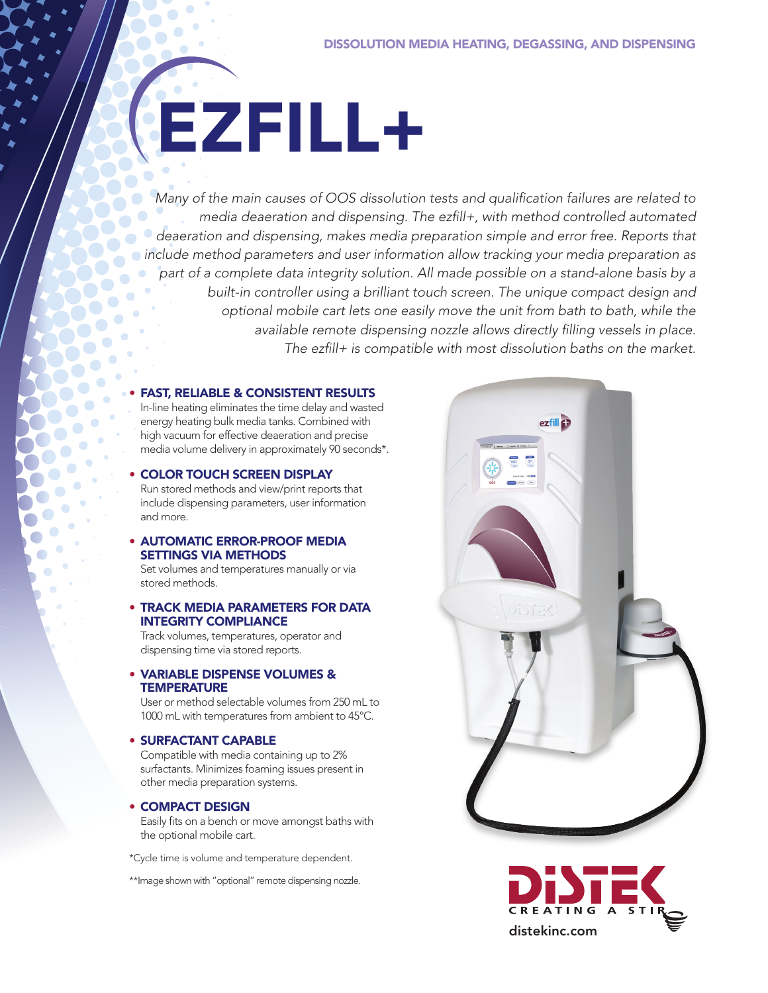# EZFILL+

*Many of the main causes of OOS dissolution tests and qualification failures are related to media deaeration and dispensing. The ezfill+, with method controlled automated deaeration and dispensing, makes media preparation simple and error free. Reports that include method parameters and user information allow tracking your media preparation as part of a complete data integrity solution. All made possible on a stand-alone basis by a built-in controller using a brilliant touch screen. The unique compact design and optional mobile cart lets one easily move the unit from bath to bath, while the available remote dispensing nozzle allows directly filling vessels in place. The ezfill+ is compatible with most dissolution baths on the market.*

#### • FAST, RELIABLE & CONSISTENT RESULTS

In-line heating eliminates the time delay and wasted energy heating bulk media tanks. Combined with high vacuum for effective deaeration and precise media volume delivery in approximately 90 seconds\*.

#### • COLOR TOUCH SCREEN DISPLAY

Run stored methods and view/print reports that include dispensing parameters, user information and more.

### • AUTOMATIC ERROR-PROOF MEDIA SETTINGS VIA METHODS

Set volumes and temperatures manually or via stored methods.

#### • TRACK MEDIA PARAMETERS FOR DATA INTEGRITY COMPLIANCE

Track volumes, temperatures, operator and dispensing time via stored reports.

#### • VARIABLE DISPENSE VOLUMES & **TEMPERATURE**

User or method selectable volumes from 250 mL to 1000 mL with temperatures from ambient to 45°C.

#### • SURFACTANT CAPABLE

Compatible with media containing up to 2% surfactants. Minimizes foaming issues present in other media preparation systems.

#### • COMPACT DESIGN

Easily fits on a bench or move amongst baths with the optional mobile cart.

\*Cycle time is volume and temperature dependent.

\*\*Image shown with "optional" remote dispensing nozzle.